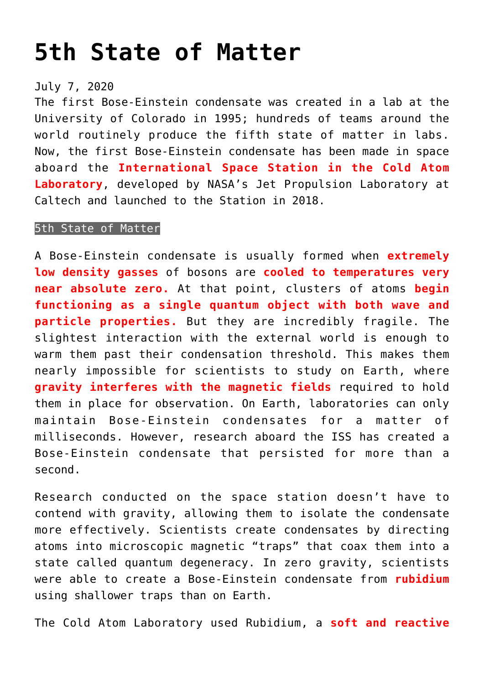## **[5th State of Matter](https://journalsofindia.com/5th-state-of-matter/)**

## July 7, 2020

The first Bose-Einstein condensate was created in a lab at the University of Colorado in 1995; hundreds of teams around the world routinely produce the fifth state of matter in labs. Now, the first Bose-Einstein condensate has been made in space aboard the **International Space Station in the Cold Atom Laboratory**, developed by NASA's Jet Propulsion Laboratory at Caltech and launched to the Station in 2018.

## 5th State of Matter

A Bose-Einstein condensate is usually formed when **extremely low density gasses** of bosons are **cooled to temperatures very near absolute zero.** At that point, clusters of atoms **begin functioning as a single quantum object with both wave and particle properties.** But they are incredibly fragile. The slightest interaction with the external world is enough to warm them past their condensation threshold. This makes them nearly impossible for scientists to study on Earth, where **gravity interferes with the magnetic fields** required to hold them in place for observation. On Earth, laboratories can only maintain Bose-Einstein condensates for a matter of milliseconds. However, research aboard the ISS has created a Bose-Einstein condensate that persisted for more than a second.

Research conducted on the space station doesn't have to contend with gravity, allowing them to isolate the condensate more effectively. Scientists create condensates by directing atoms into microscopic magnetic "traps" that coax them into a state called quantum degeneracy. In zero gravity, scientists were able to create a Bose-Einstein condensate from **rubidium** using shallower traps than on Earth.

The Cold Atom Laboratory used Rubidium, a **soft and reactive**